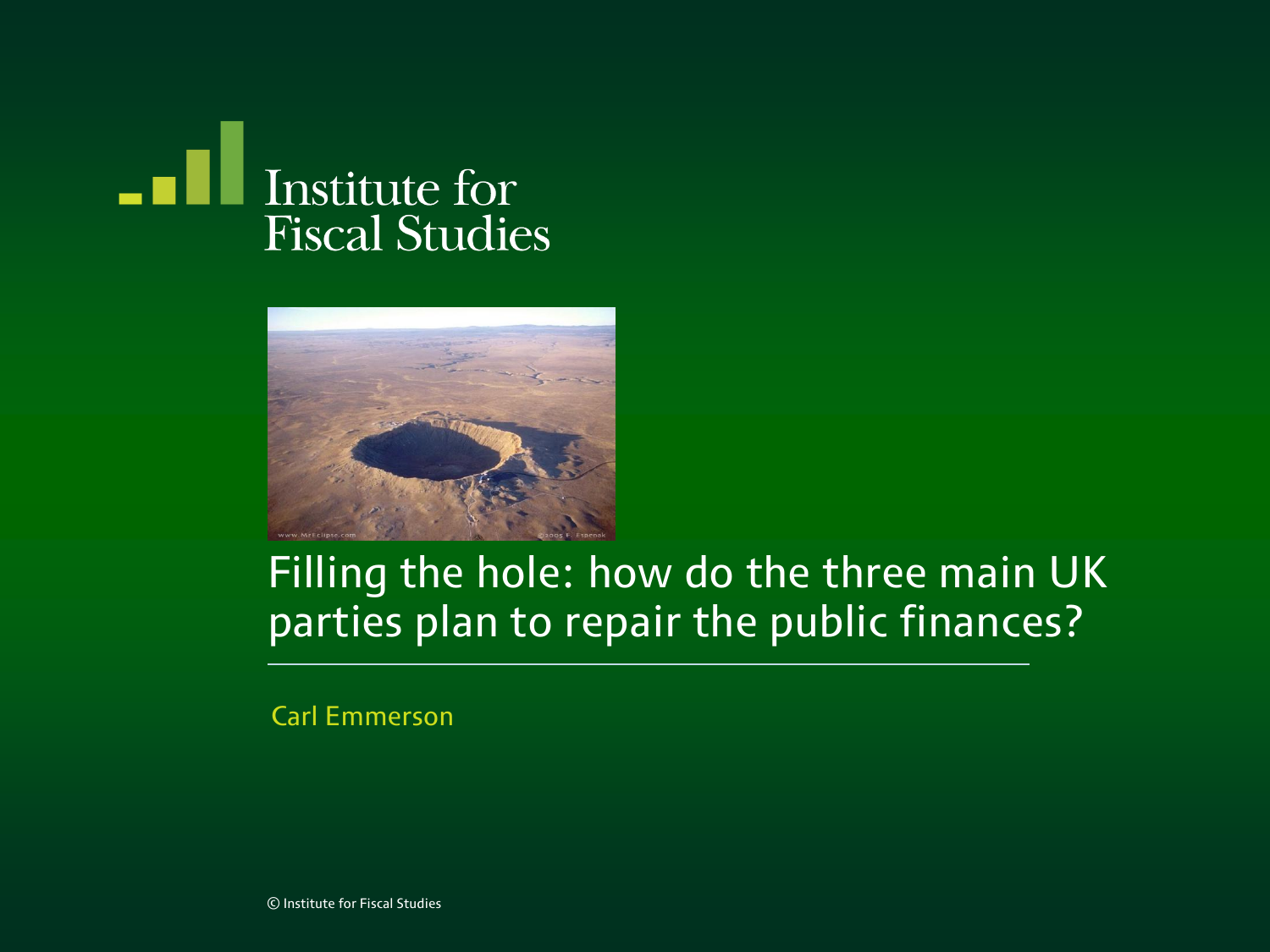



#### Filling the hole: how do the three main UK parties plan to repair the public finances?

Carl Emmerson

© Institute for Fiscal Studies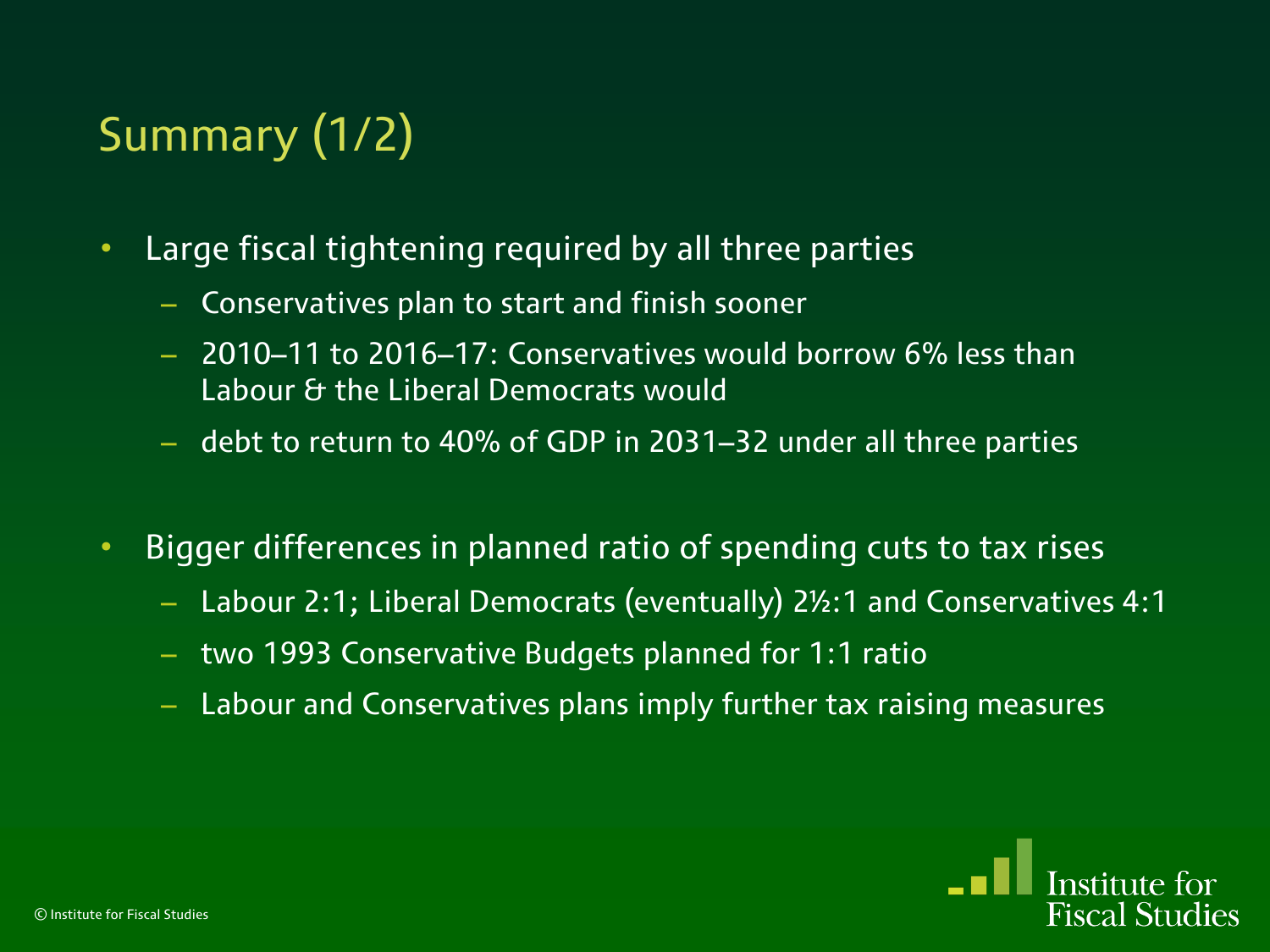# Summary (1/2)

- Large fiscal tightening required by all three parties
	- Conservatives plan to start and finish sooner
	- 2010–11 to 2016–17: Conservatives would borrow 6% less than Labour & the Liberal Democrats would
	- debt to return to 40% of GDP in 2031–32 under all three parties
- Bigger differences in planned ratio of spending cuts to tax rises
	- Labour 2:1; Liberal Democrats (eventually) 2½:1 and Conservatives 4:1
	- two 1993 Conservative Budgets planned for 1:1 ratio
	- Labour and Conservatives plans imply further tax raising measures

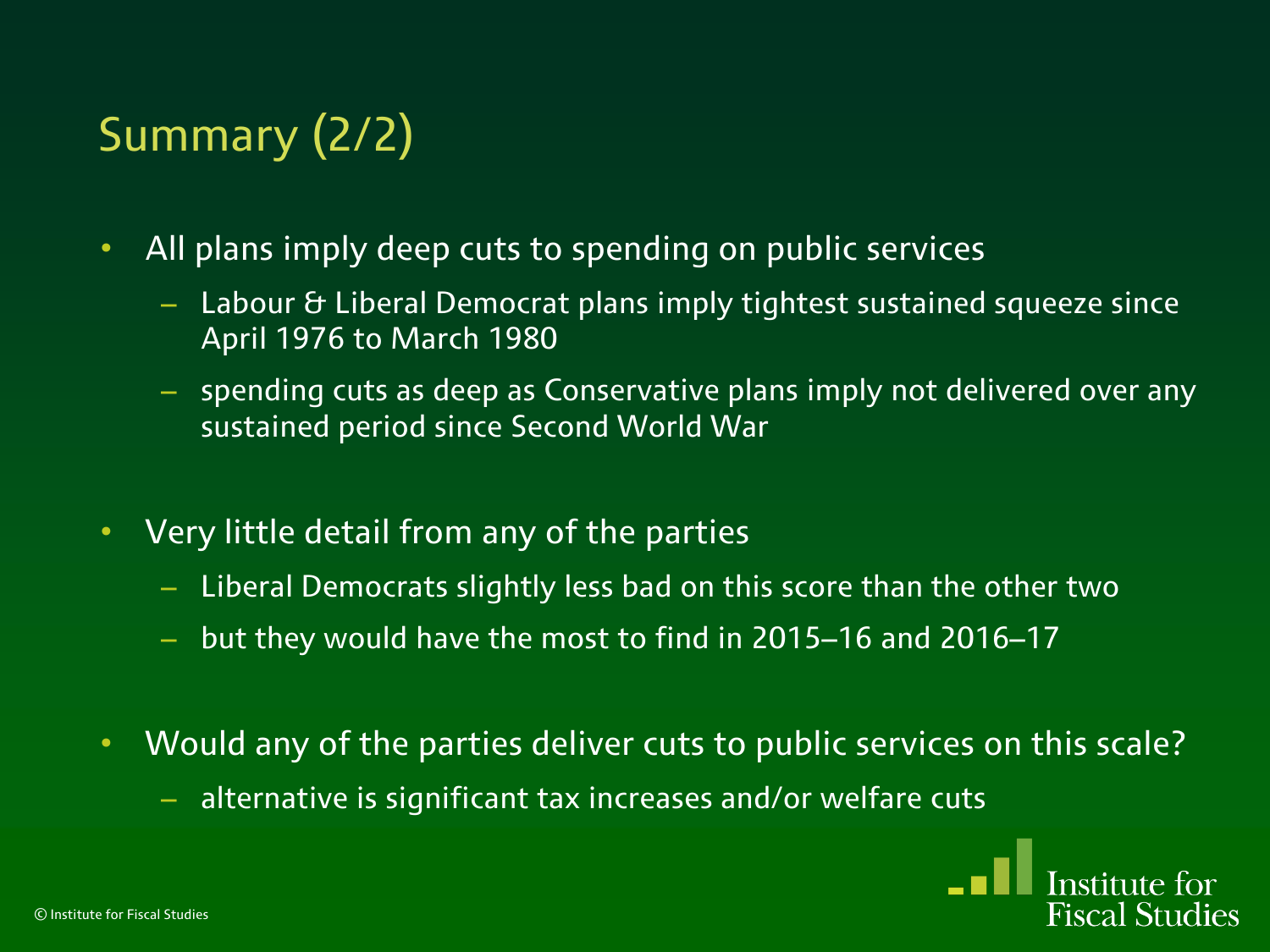# Summary (2/2)

- All plans imply deep cuts to spending on public services
	- Labour & Liberal Democrat plans imply tightest sustained squeeze since April 1976 to March 1980
	- spending cuts as deep as Conservative plans imply not delivered over any sustained period since Second World War
- Very little detail from any of the parties
	- Liberal Democrats slightly less bad on this score than the other two
	- but they would have the most to find in 2015–16 and 2016–17
- Would any of the parties deliver cuts to public services on this scale?
	- alternative is significant tax increases and/or welfare cuts

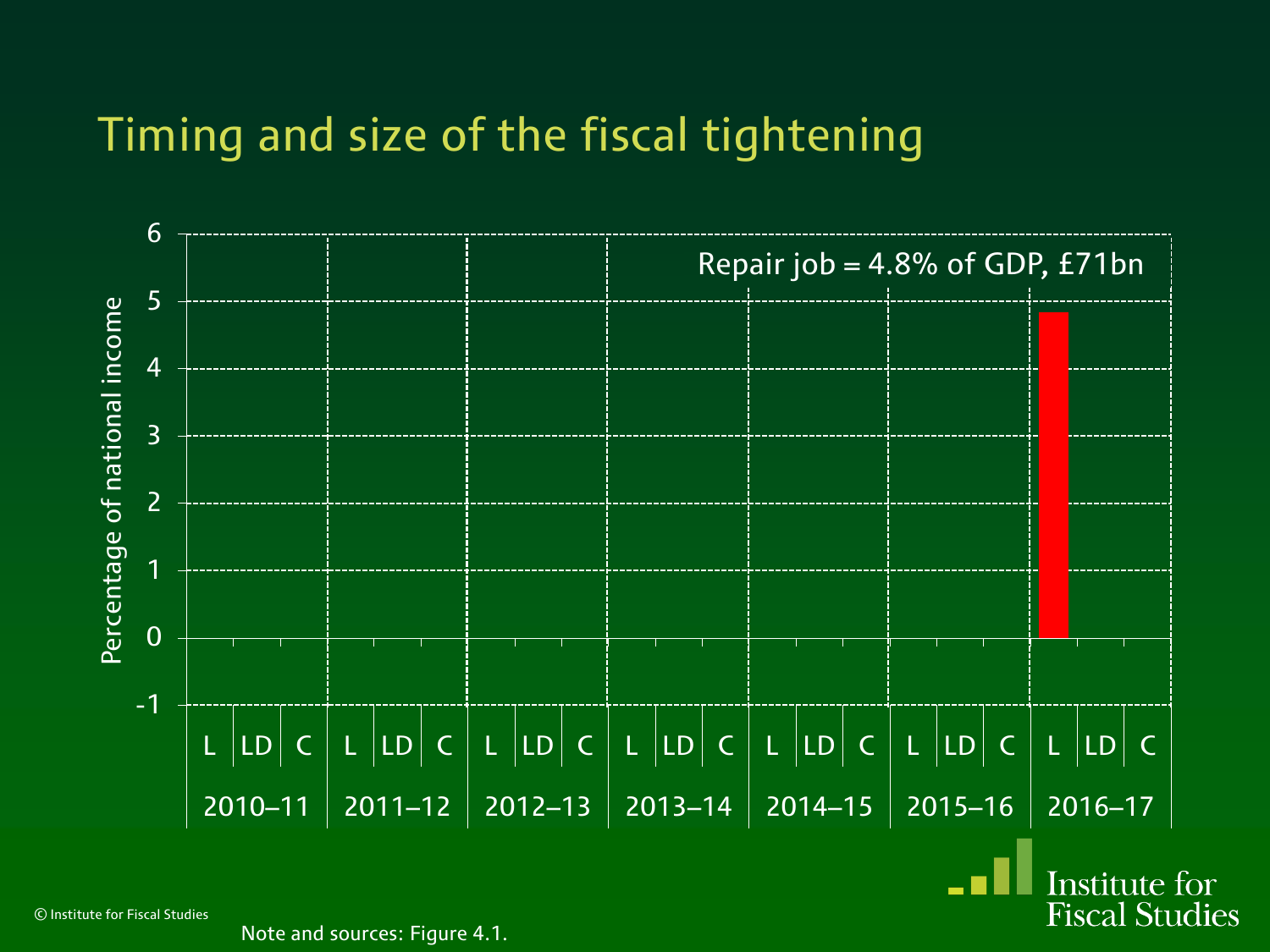

© Institute for Fiscal Studies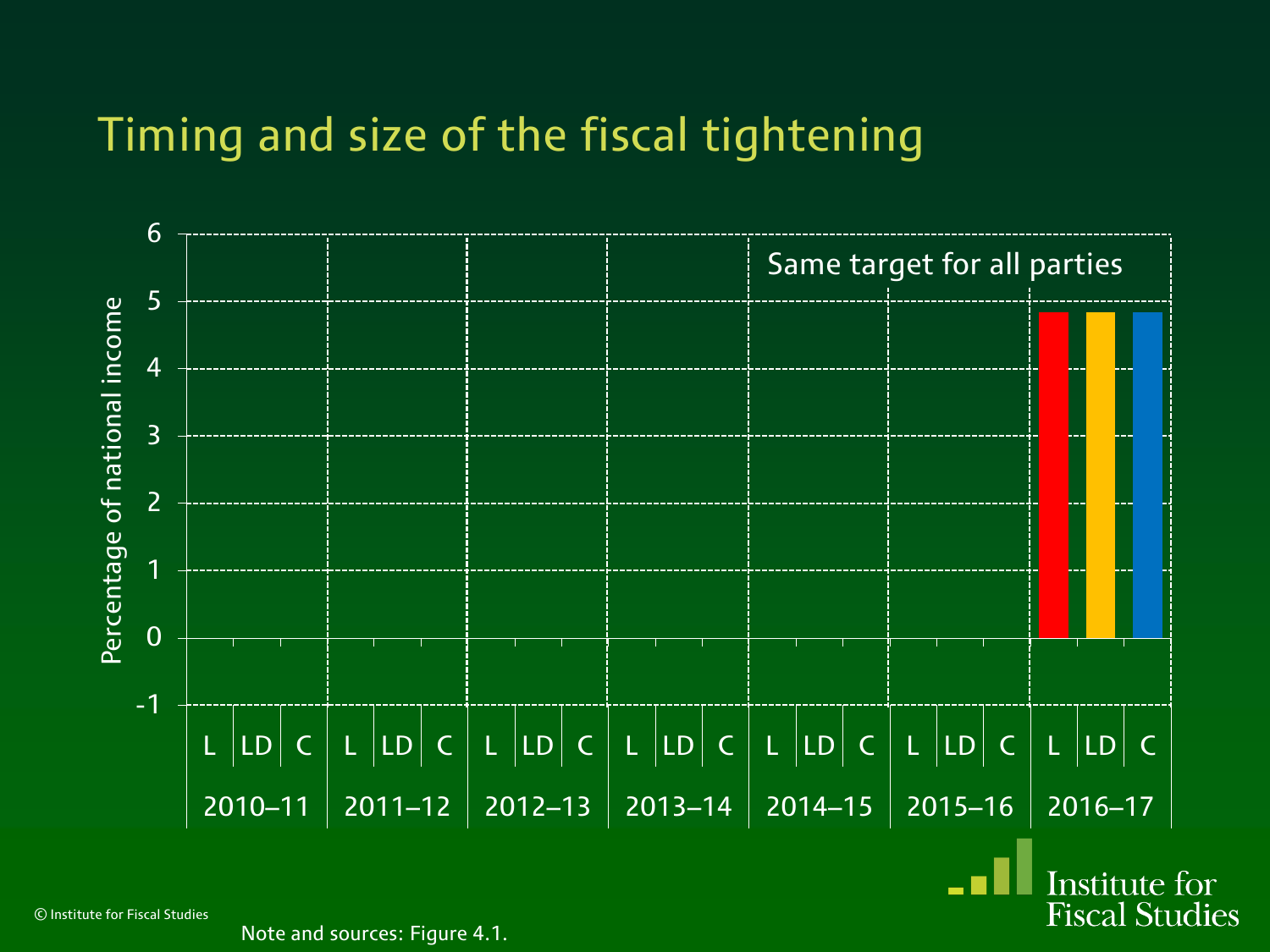

© Institute for Fiscal Studies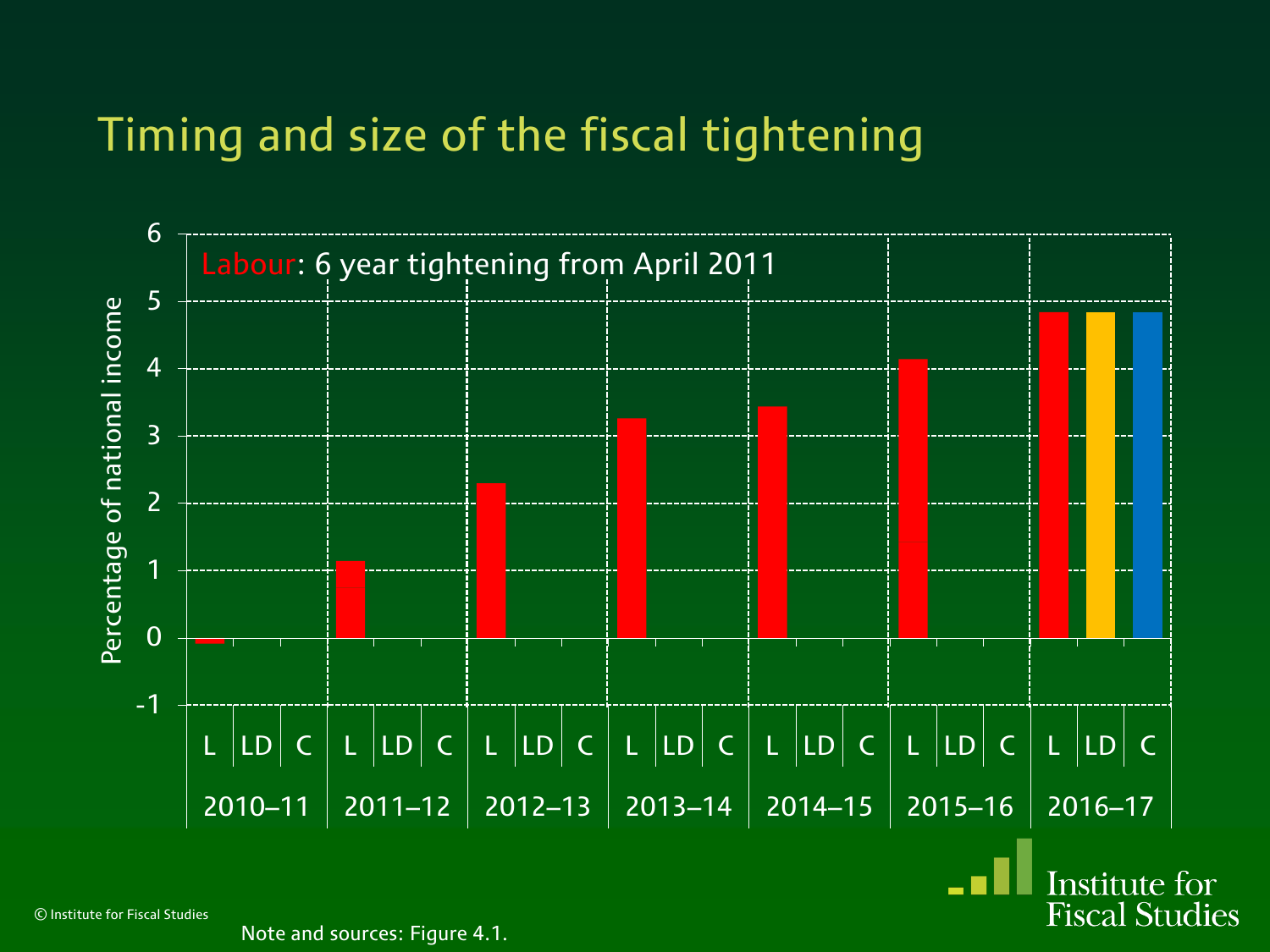

© Institute for Fiscal Studies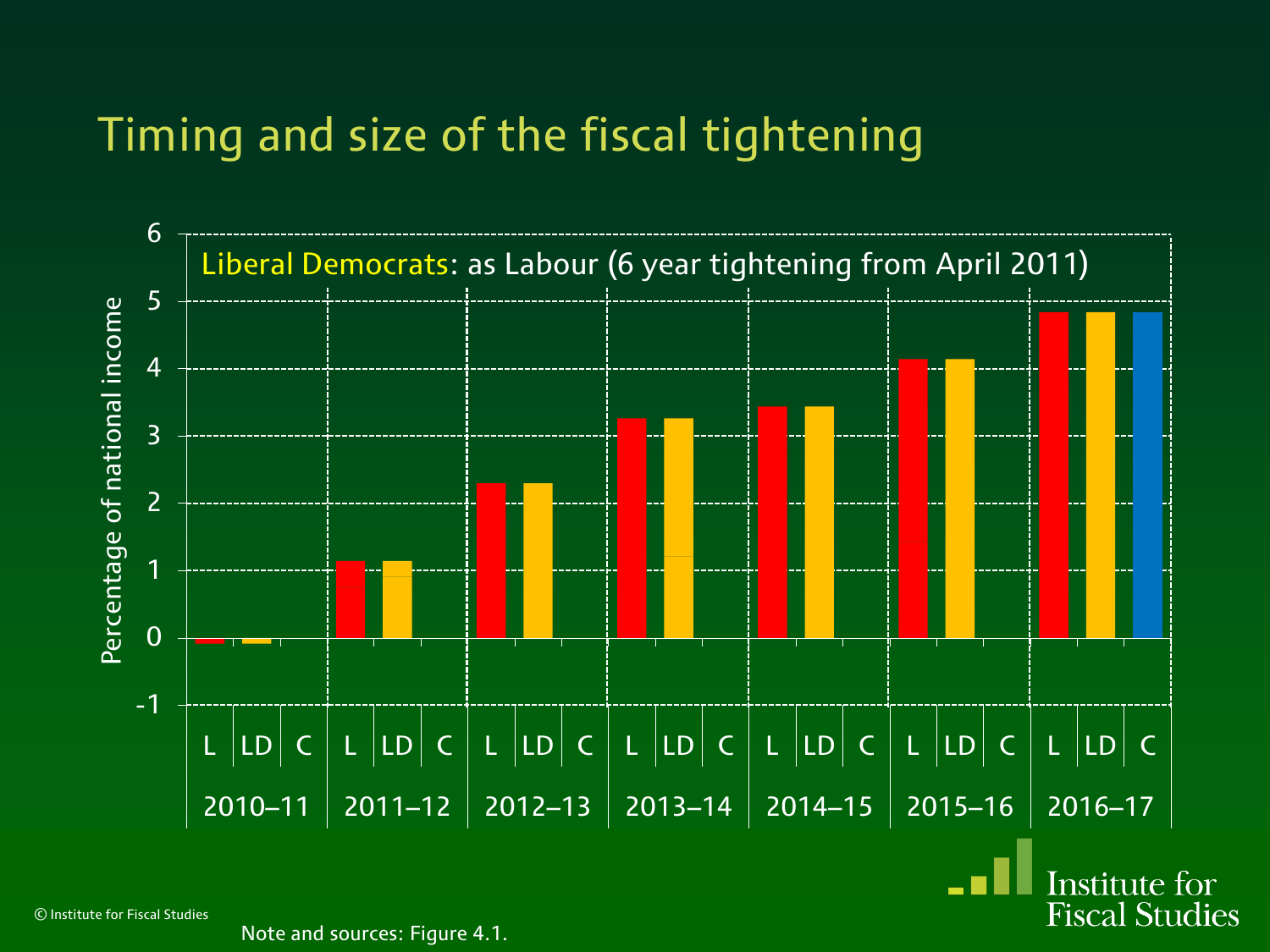

© Institute for Fiscal Studies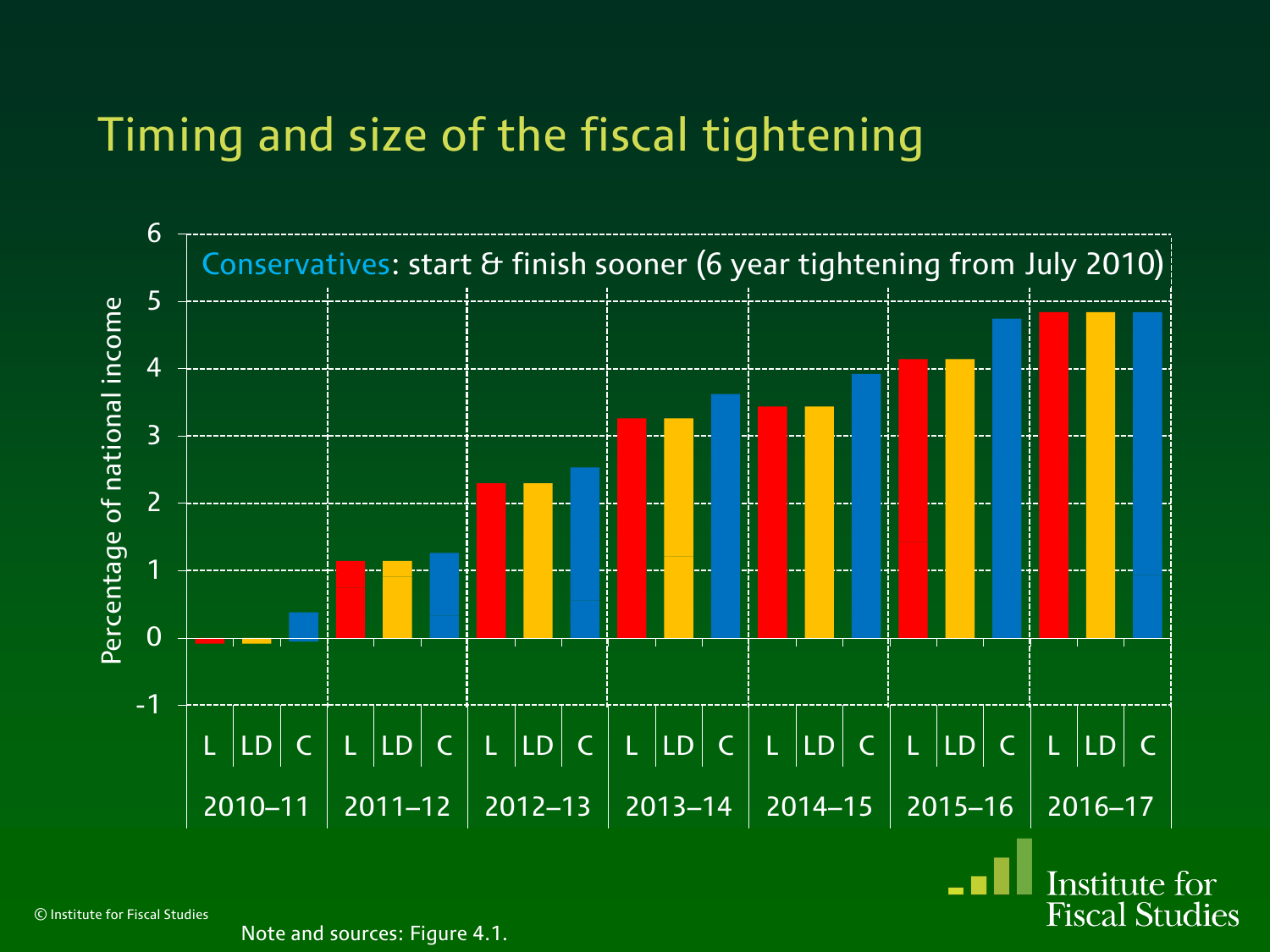

© Institute for Fiscal Studies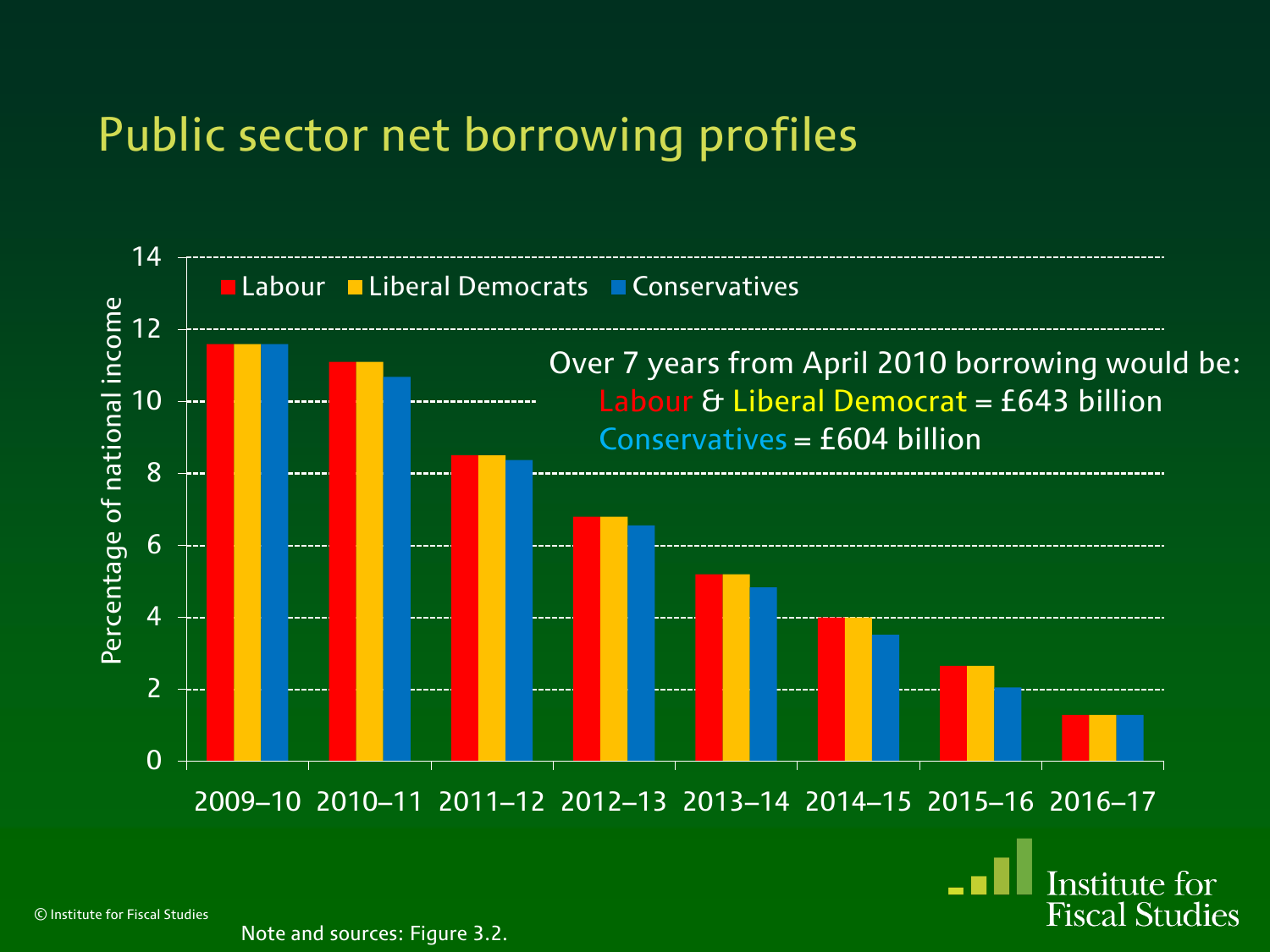### Public sector net borrowing profiles



Institute for **Fiscal Studies** 

© Institute for Fiscal Studies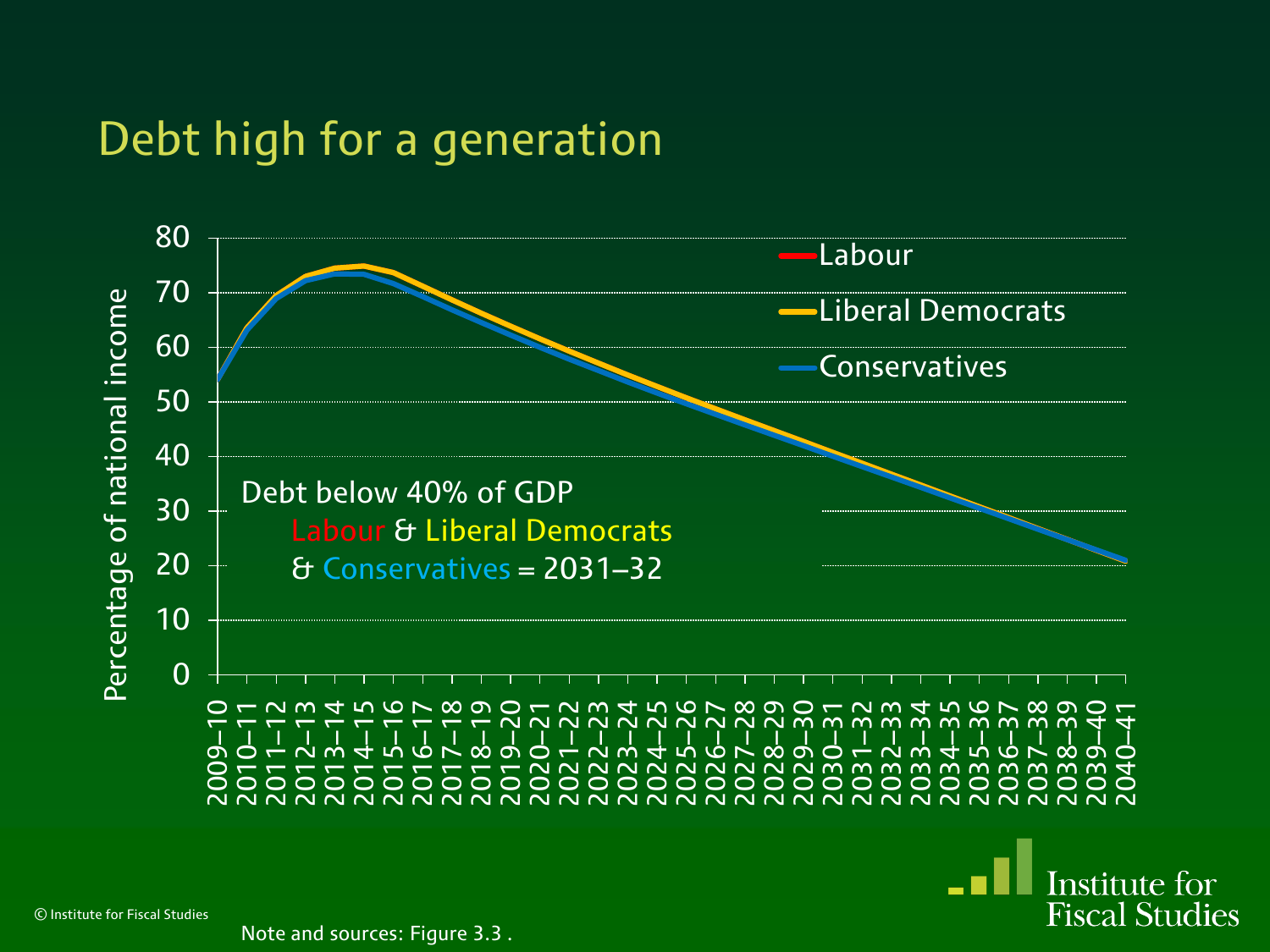#### Debt high for a generation



© Institute for Fiscal Studies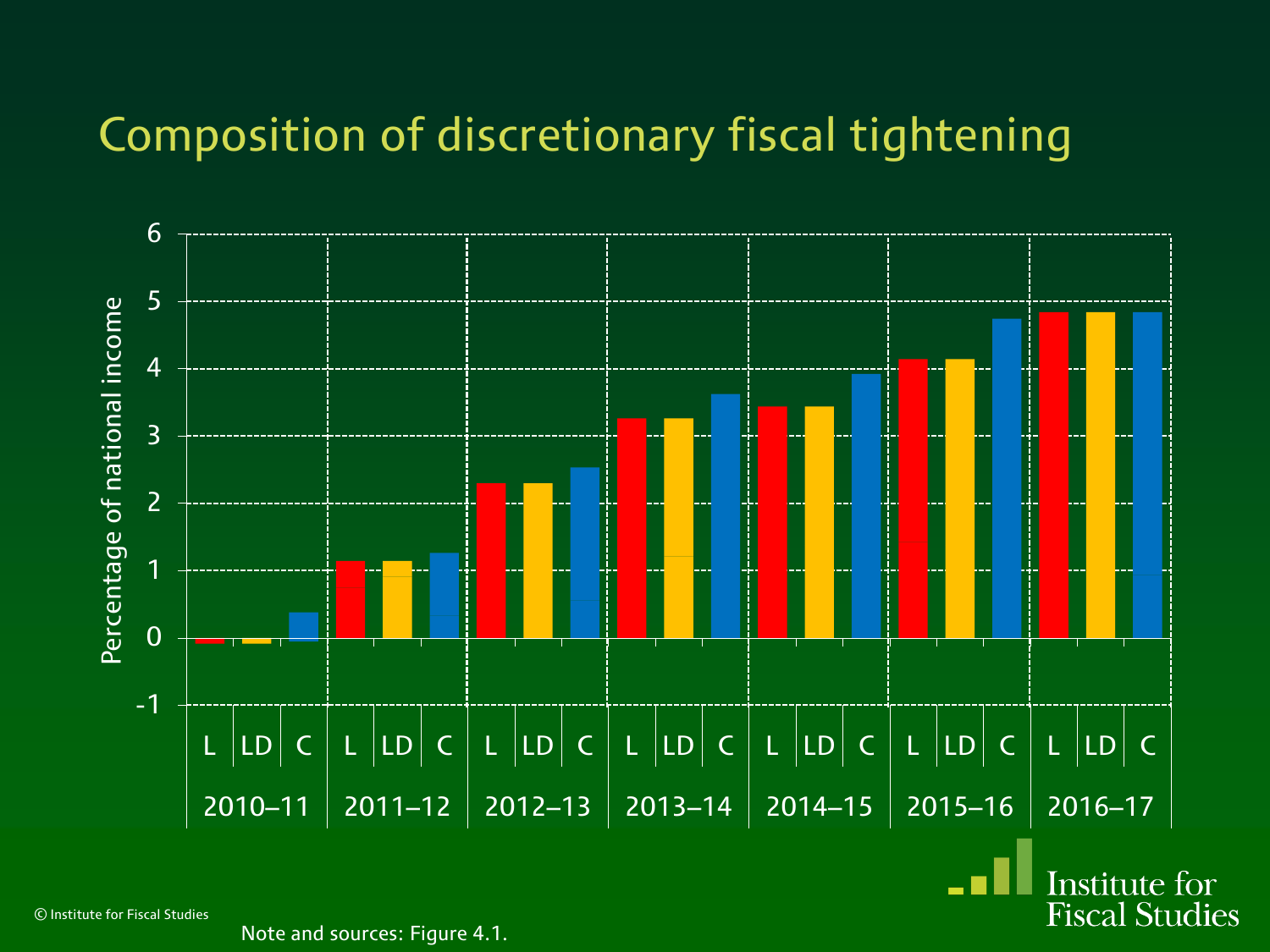

© Institute for Fiscal Studies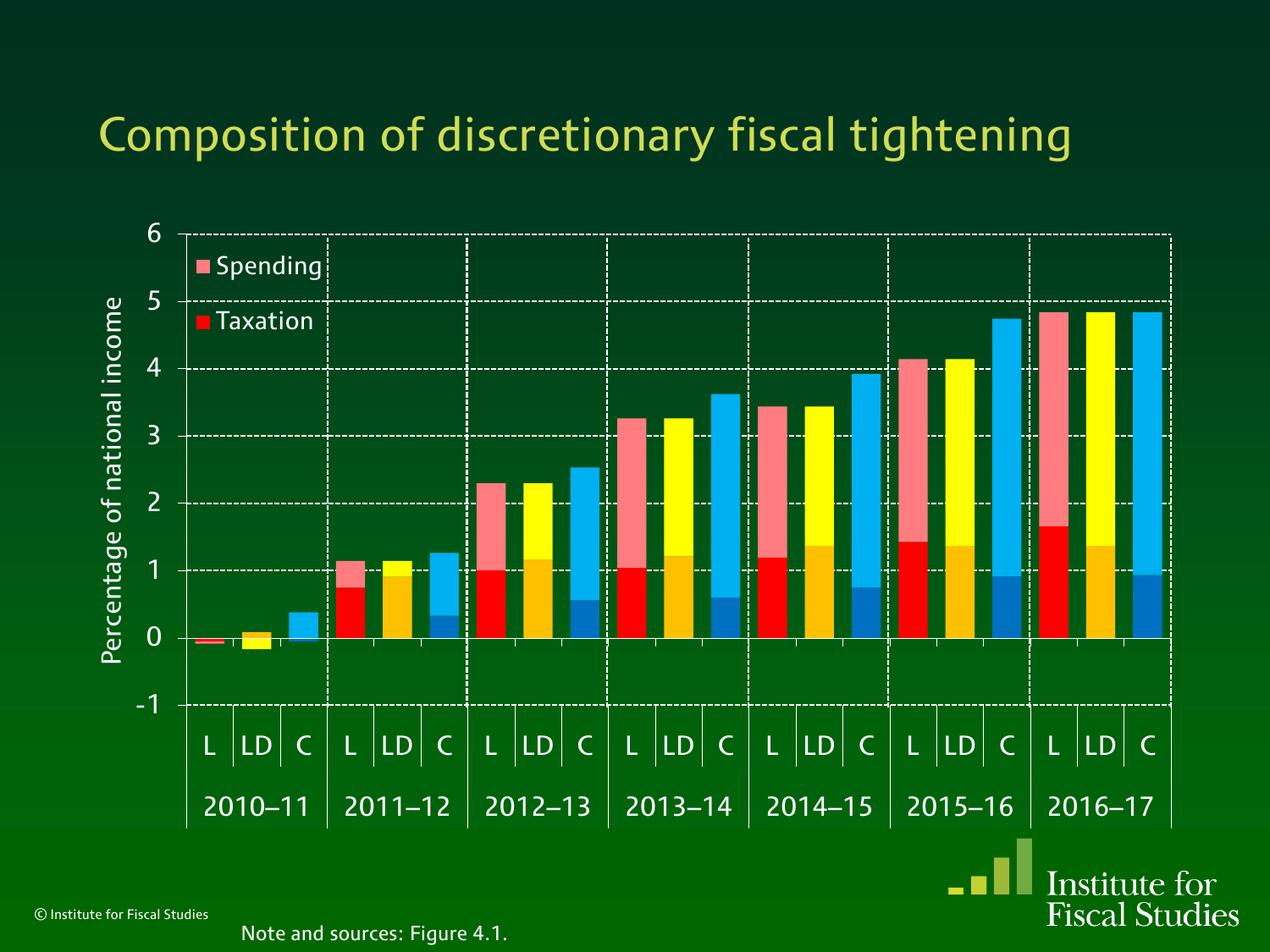

© Institute for Fiscal Studies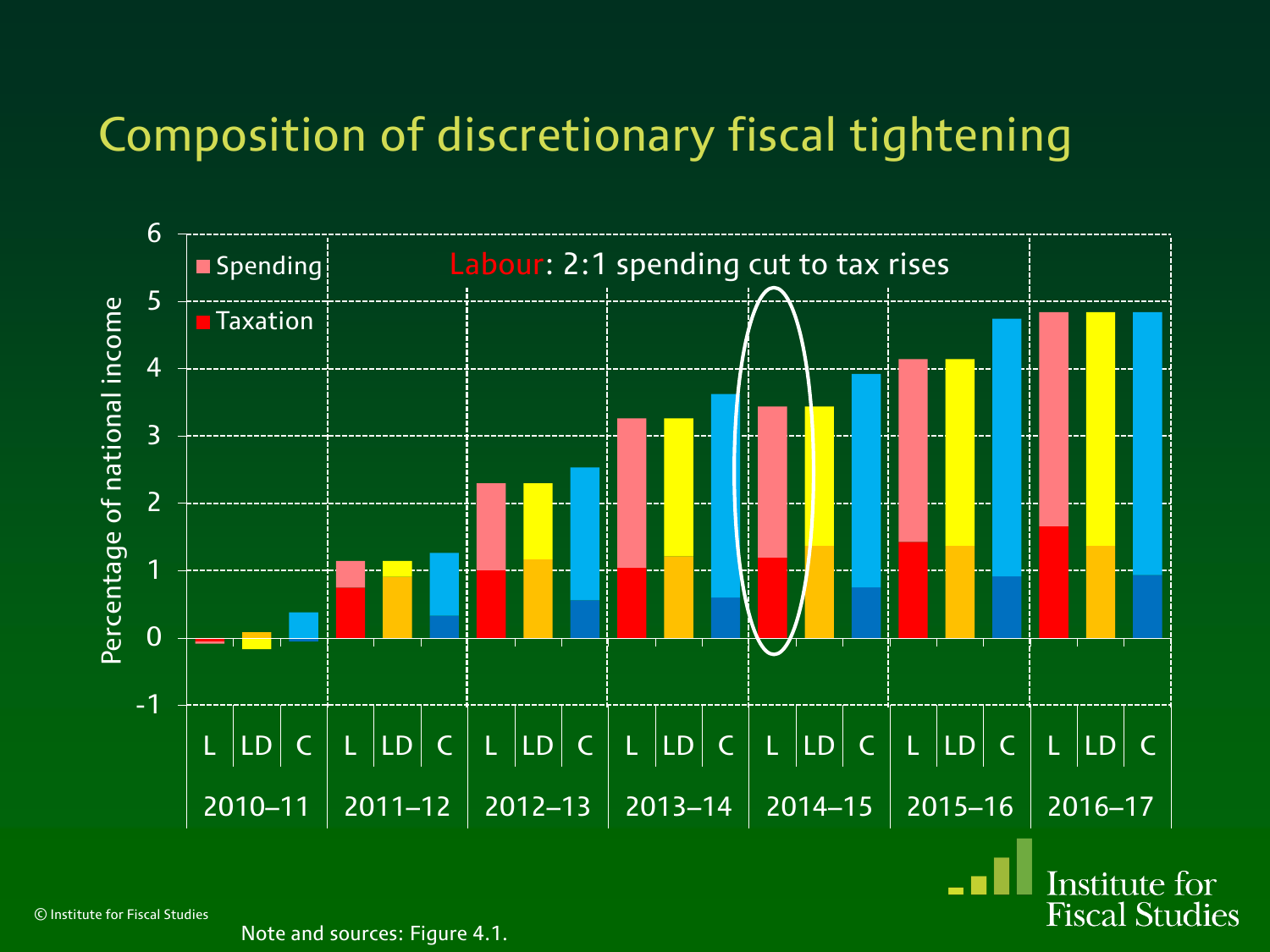

© Institute for Fiscal Studies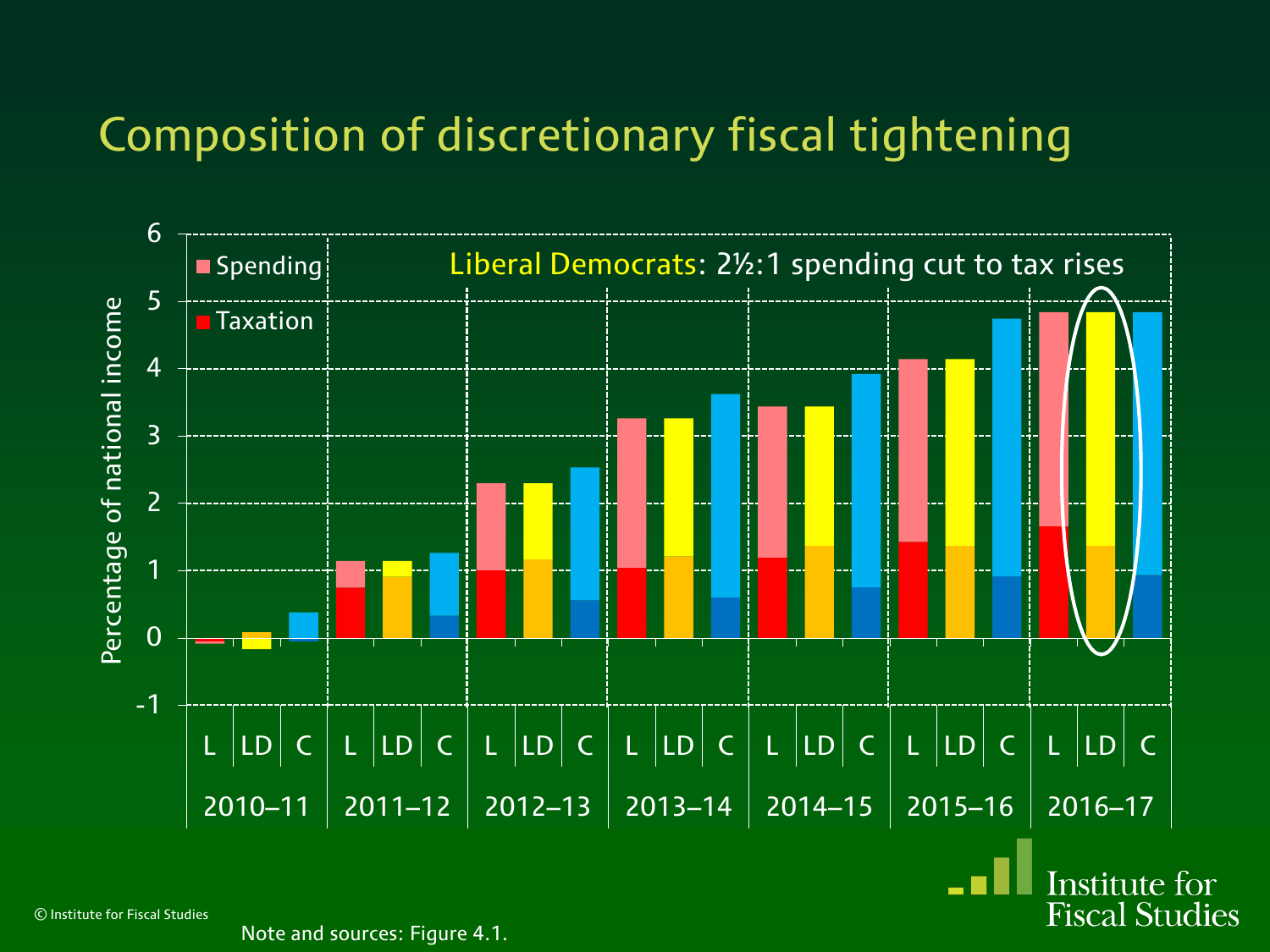

© Institute for Fiscal Studies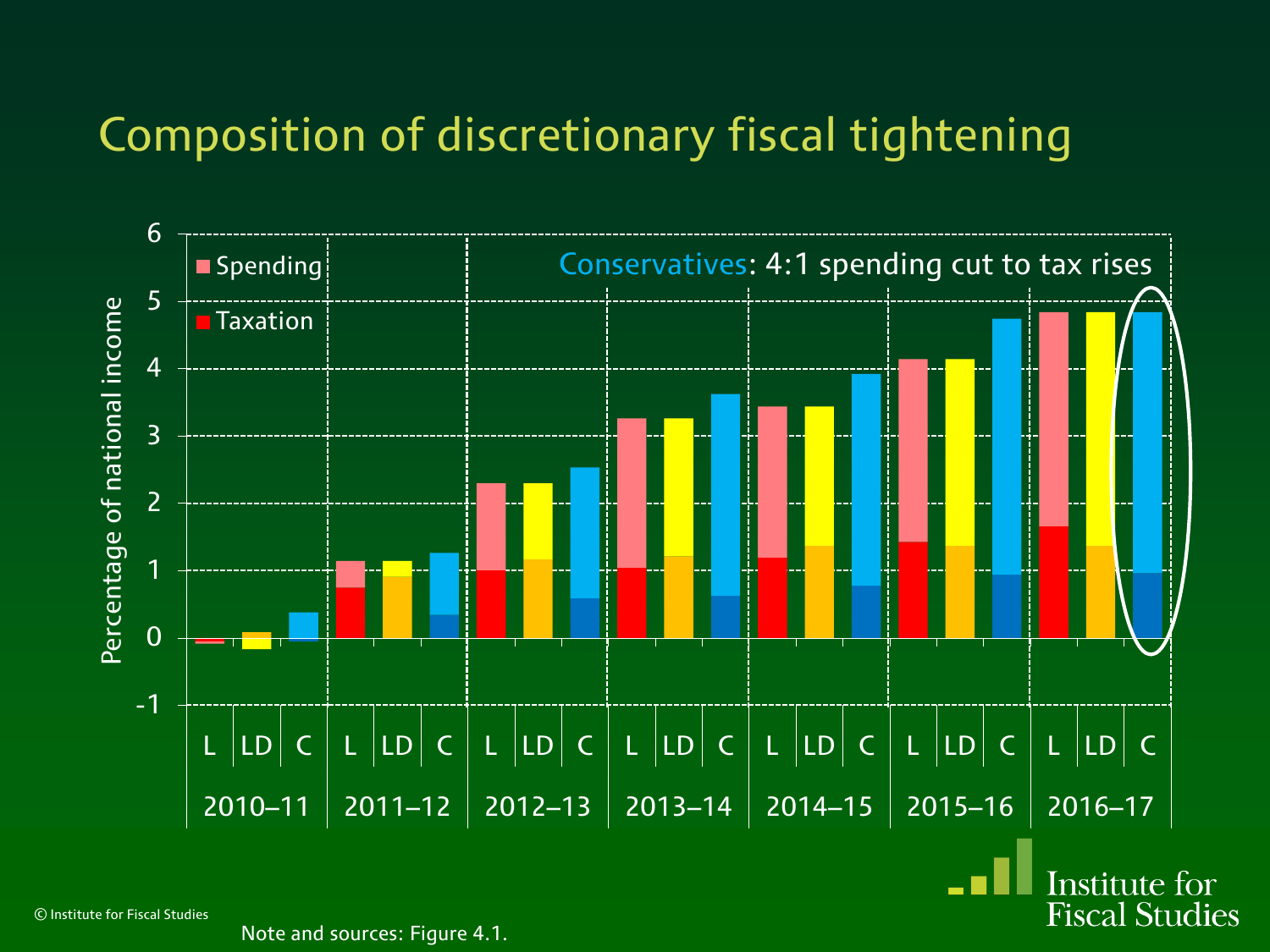

© Institute for Fiscal Studies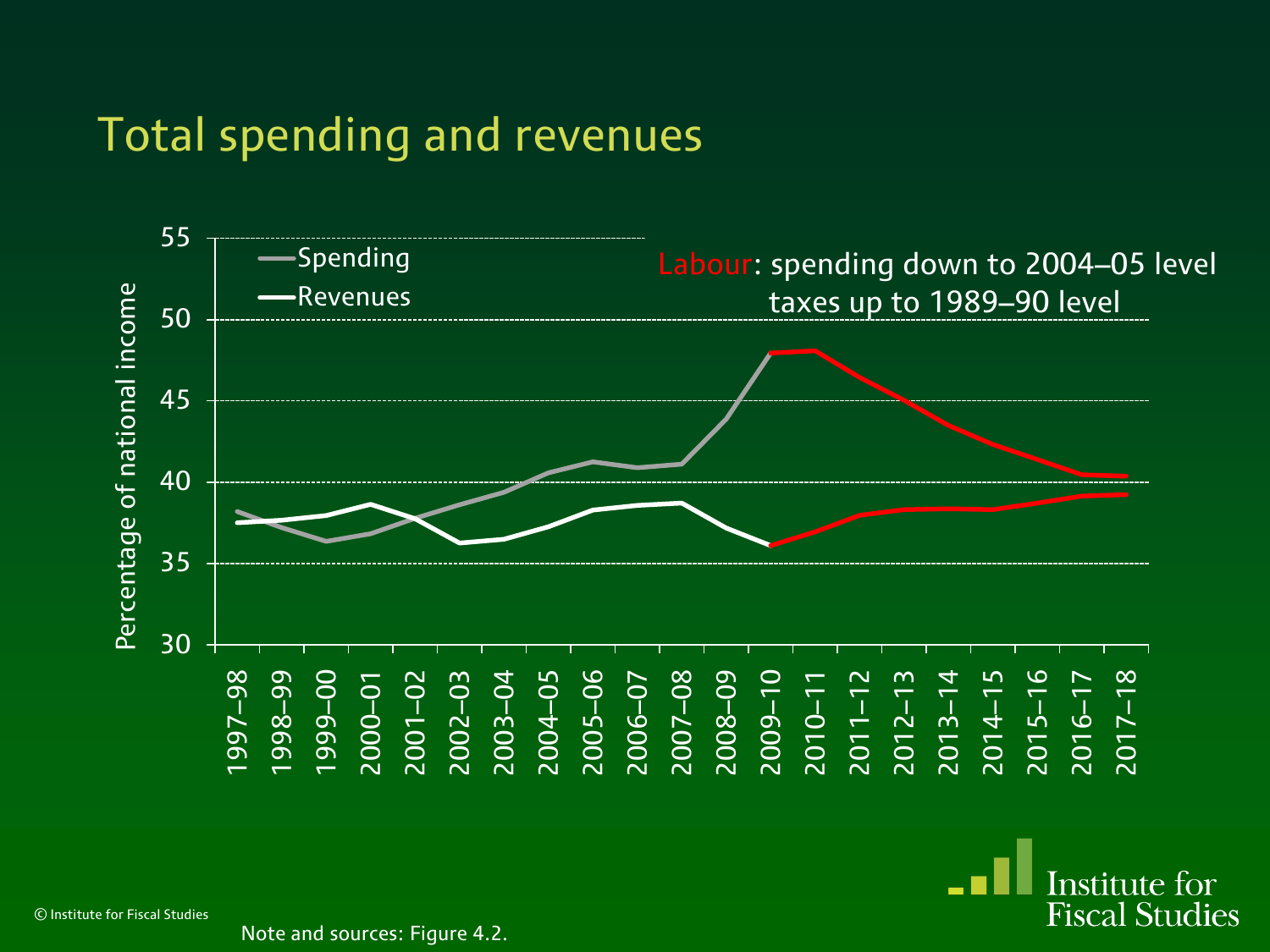#### Total spending and revenues



Institute for **Fiscal Studies** 

© Institute for Fiscal Studies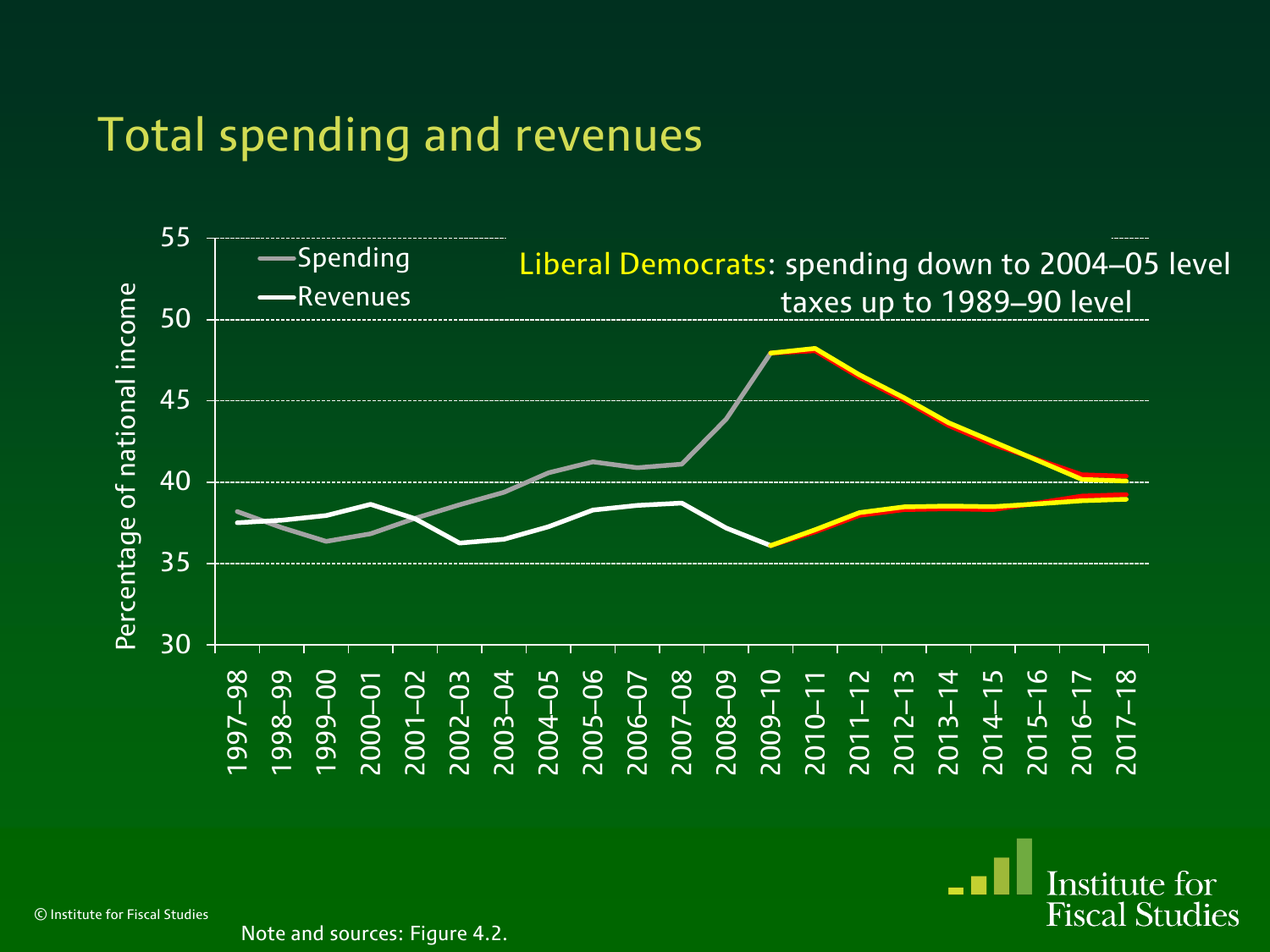#### Total spending and revenues



**Institute for Fiscal Studies** 

© Institute for Fiscal Studies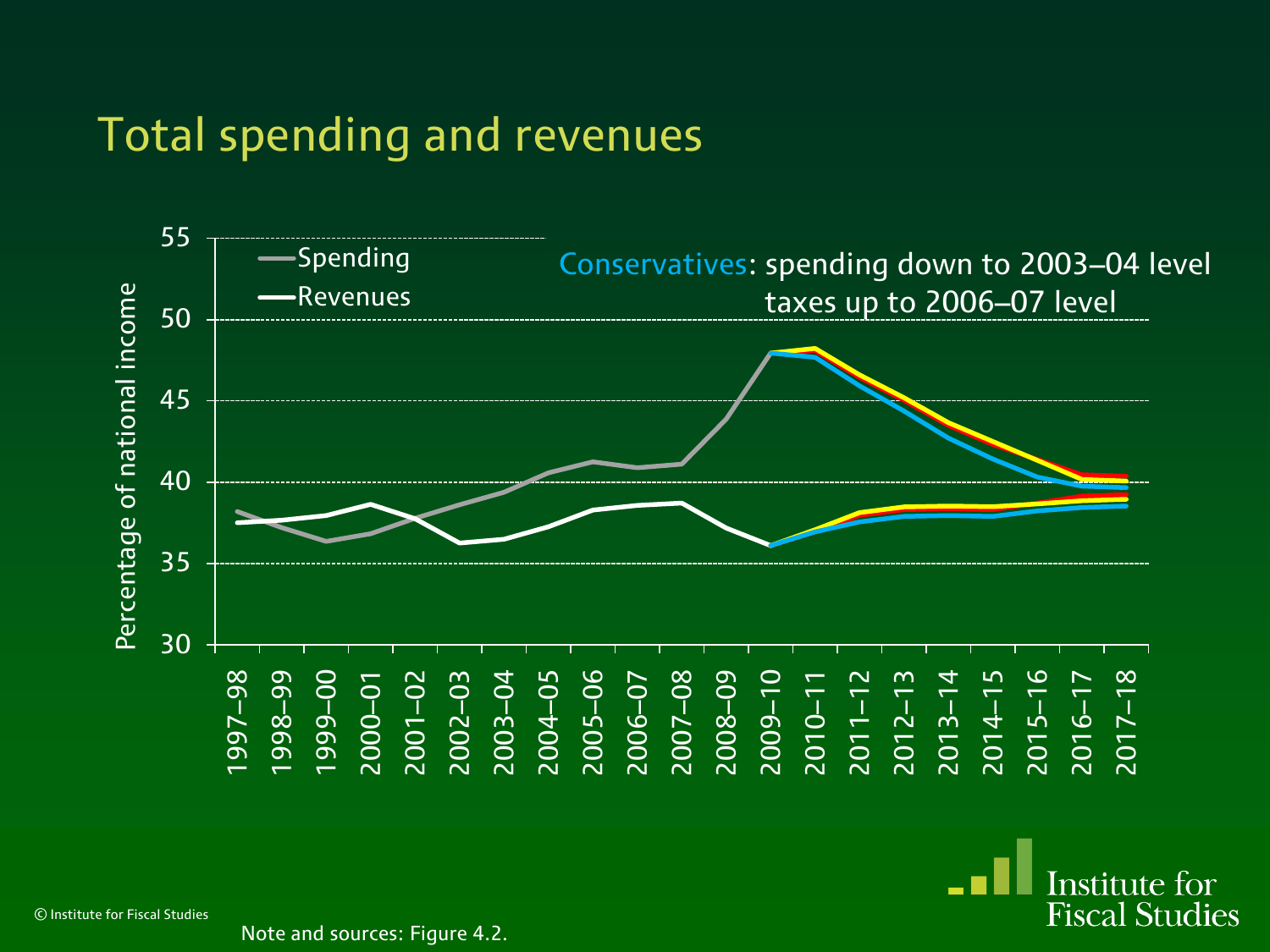#### Total spending and revenues



Institute for **Fiscal Studies** 

© Institute for Fiscal Studies